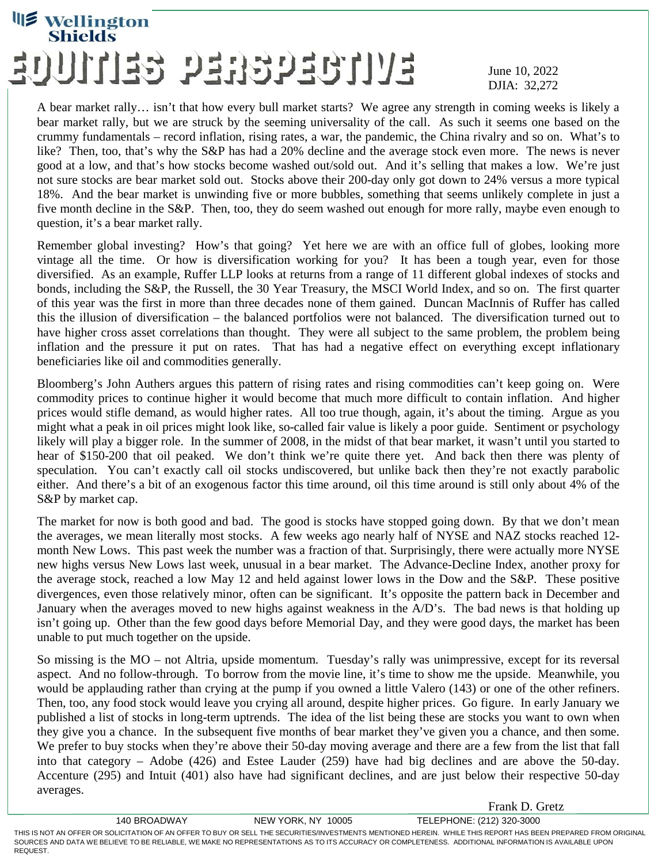## **Wellington** EVITOEGGEEG GEITIUE

## June 10, 2022 DJIA: 32,272

Frank D. Gretz

A bear market rally… isn't that how every bull market starts? We agree any strength in coming weeks is likely a bear market rally, but we are struck by the seeming universality of the call. As such it seems one based on the crummy fundamentals – record inflation, rising rates, a war, the pandemic, the China rivalry and so on. What's to like? Then, too, that's why the S&P has had a 20% decline and the average stock even more. The news is never good at a low, and that's how stocks become washed out/sold out. And it's selling that makes a low. We're just not sure stocks are bear market sold out. Stocks above their 200-day only got down to 24% versus a more typical 18%. And the bear market is unwinding five or more bubbles, something that seems unlikely complete in just a five month decline in the S&P. Then, too, they do seem washed out enough for more rally, maybe even enough to question, it's a bear market rally.

Remember global investing? How's that going? Yet here we are with an office full of globes, looking more vintage all the time. Or how is diversification working for you? It has been a tough year, even for those diversified. As an example, Ruffer LLP looks at returns from a range of 11 different global indexes of stocks and bonds, including the S&P, the Russell, the 30 Year Treasury, the MSCI World Index, and so on. The first quarter of this year was the first in more than three decades none of them gained. Duncan MacInnis of Ruffer has called this the illusion of diversification – the balanced portfolios were not balanced. The diversification turned out to have higher cross asset correlations than thought. They were all subject to the same problem, the problem being inflation and the pressure it put on rates. That has had a negative effect on everything except inflationary beneficiaries like oil and commodities generally.

Bloomberg's John Authers argues this pattern of rising rates and rising commodities can't keep going on. Were commodity prices to continue higher it would become that much more difficult to contain inflation. And higher prices would stifle demand, as would higher rates. All too true though, again, it's about the timing. Argue as you might what a peak in oil prices might look like, so-called fair value is likely a poor guide. Sentiment or psychology likely will play a bigger role. In the summer of 2008, in the midst of that bear market, it wasn't until you started to hear of \$150-200 that oil peaked. We don't think we're quite there yet. And back then there was plenty of speculation. You can't exactly call oil stocks undiscovered, but unlike back then they're not exactly parabolic either. And there's a bit of an exogenous factor this time around, oil this time around is still only about 4% of the S&P by market cap.

The market for now is both good and bad. The good is stocks have stopped going down. By that we don't mean the averages, we mean literally most stocks. A few weeks ago nearly half of NYSE and NAZ stocks reached 12 month New Lows. This past week the number was a fraction of that. Surprisingly, there were actually more NYSE new highs versus New Lows last week, unusual in a bear market. The Advance-Decline Index, another proxy for the average stock, reached a low May 12 and held against lower lows in the Dow and the S&P. These positive divergences, even those relatively minor, often can be significant. It's opposite the pattern back in December and January when the averages moved to new highs against weakness in the A/D's. The bad news is that holding up isn't going up. Other than the few good days before Memorial Day, and they were good days, the market has been unable to put much together on the upside.

So missing is the MO – not Altria, upside momentum. Tuesday's rally was unimpressive, except for its reversal aspect. And no follow-through. To borrow from the movie line, it's time to show me the upside. Meanwhile, you would be applauding rather than crying at the pump if you owned a little Valero (143) or one of the other refiners. Then, too, any food stock would leave you crying all around, despite higher prices. Go figure. In early January we published a list of stocks in long-term uptrends. The idea of the list being these are stocks you want to own when they give you a chance. In the subsequent five months of bear market they've given you a chance, and then some. We prefer to buy stocks when they're above their 50-day moving average and there are a few from the list that fall into that category – Adobe (426) and Estee Lauder (259) have had big declines and are above the 50-day. Accenture (295) and Intuit (401) also have had significant declines, and are just below their respective 50-day averages.

140 BROADWAY NEW YORK, NY 10005 TELEPHONE: (212) 320-3000 THIS IS NOT AN OFFER OR SOLICITATION OF AN OFFER TO BUY OR SELL THE SECURITIES/INVESTMENTS MENTIONED HEREIN. WHILE THIS REPORT HAS BEEN PREPARED FROM ORIGINAL SOURCES AND DATA WE BELIEVE TO BE RELIABLE, WE MAKE NO REPRESENTATIONS AS TO ITS ACCURACY OR COMPLETENESS. ADDITIONAL INFORMATION IS AVAILABLE UPON REQUEST.